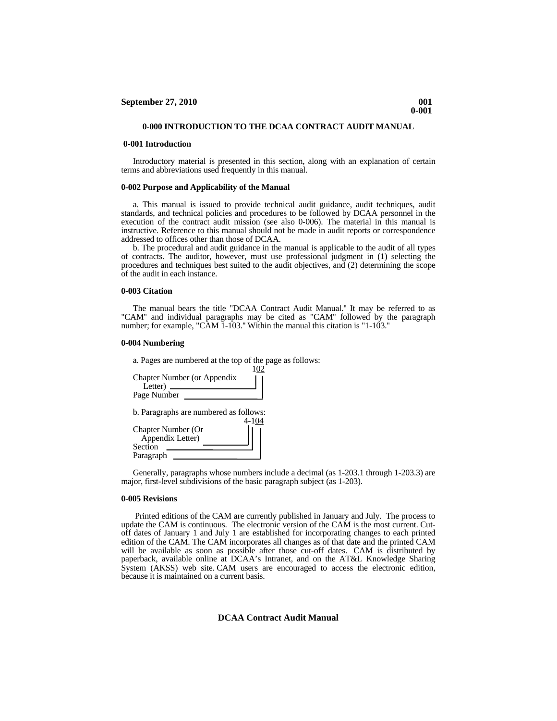## **0-000 INTRODUCTION TO THE DCAA CONTRACT AUDIT MANUAL**

## **0-001 Introduction**

 Introductory material is presented in this section, along with an explanation of certain terms and abbreviations used frequently in this manual.

## **0-002 Purpose and Applicability of the Manual**

 a. This manual is issued to provide technical audit guidance, audit techniques, audit standards, and technical policies and procedures to be followed by DCAA personnel in the execution of the contract audit mission (see also 0-006). The material in this manual is instructive. Reference to this manual should not be made in audit reports or correspondence addressed to offices other than those of DCAA.

 b. The procedural and audit guidance in the manual is applicable to the audit of all types of contracts. The auditor, however, must use professional judgment in (1) selecting the procedures and techniques best suited to the audit objectives, and (2) determining the scope of the audit in each instance.

## **0-003 Citation**

 The manual bears the title "DCAA Contract Audit Manual.'' It may be referred to as "CAM'' and individual paragraphs may be cited as "CAM'' followed by the paragraph number; for example, "CAM 1-103." Within the manual this citation is "1-103."

## **0-004 Numbering**

| a. Pages are numbered at the top of the page as follows: |
|----------------------------------------------------------|
| 102                                                      |
| <b>Chapter Number (or Appendix</b>                       |
|                                                          |
| Page Number                                              |
|                                                          |
| b. Paragraphs are numbered as follows:                   |
| 4-104                                                    |
| <b>Chapter Number (Or</b>                                |
| Appendix Letter)                                         |
| Section                                                  |
| Paragraph                                                |

Generally, paragraphs whose numbers include a decimal (as 1-203.1 through 1-203.3) are major, first-level subdivisions of the basic paragraph subject (as 1-203).

#### **0-005 Revisions**

 Printed editions of the CAM are currently published in January and July. The process to update the CAM is continuous. The electronic version of the CAM is the most current. Cutoff dates of January 1 and July 1 are established for incorporating changes to each printed edition of the CAM. The CAM incorporates all changes as of that date and the printed CAM will be available as soon as possible after those cut-off dates. [CAM](https://infoserv.dcaaintra.mil/core/Guidance.htm) is distributed by paperback, available online at DCAA's Intranet, and on the AT&L Knowledge Sharing System (AKSS) web site. CAM users are encouraged to access the electronic edition, because it is maintained on a current basis.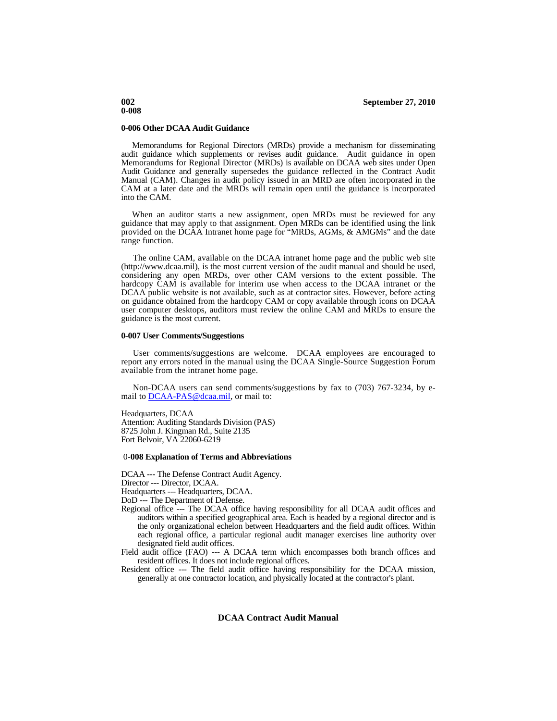#### **0-006 Other DCAA Audit Guidance**

Memorandums for Regional Directors (MRDs) provide a mechanism for disseminating audit guidance which supplements or revises audit guidance. Audit guidance in open Memorandums for Regional Director (MRDs) is available on DCAA web sites under Open Audit Guidance and generally supersedes the guidance reflected in the Contract Audit Manual (CAM). Changes in audit policy issued in an MRD are often incorporated in the CAM at a later date and the MRDs will remain open until the guidance is incorporated into the CAM.

When an auditor starts a new assignment, open MRDs must be reviewed for any guidance that may apply to that assignment. Open MRDs can be identified using the link provided on the DCAA Intranet home page for "MRDs, AGMs, & AMGMs" and the date range function.

 The online CAM, available on the DCAA intranet home page and the public web site (http://www.dcaa.mil), is the most current version of the audit manual and should be used, considering any open MRDs, over other CAM versions to the extent possible. The hardcopy CAM is available for interim use when access to the DCAA intranet or the DCAA public website is not available, such as at contractor sites. However, before acting on guidance obtained from the hardcopy CAM or copy available through icons on DCAA user computer desktops, auditors must review the online CAM and MRDs to ensure the guidance is the most current.

## **0-007 User Comments/Suggestions**

 User comments/suggestions are welcome. DCAA employees are encouraged to report any errors noted in the manual using the DCAA Single-Source Suggestion Forum available from the intranet home page.

 Non-DCAA users can send comments/suggestions by fax to (703) 767-3234, by email to [DCAA-PAS@dcaa.mil](mailto:DCAA-PAS@dcaa.mil), or mail to:

Headquarters, DCAA Attention: Auditing Standards Division (PAS) 8725 John J. Kingman Rd., Suite 2135 Fort Belvoir, VA 22060-6219

#### 0-**008 Explanation of Terms and Abbreviations**

DCAA --- The Defense Contract Audit Agency.

Director --- Director, DCAA.

Headquarters --- Headquarters, DCAA.

DoD --- The Department of Defense.

- Regional office --- The DCAA office having responsibility for all DCAA audit offices and auditors within a specified geographical area. Each is headed by a regional director and is the only organizational echelon between Headquarters and the field audit offices. Within each regional office, a particular regional audit manager exercises line authority over designated field audit offices.
- Field audit office (FAO) --- A DCAA term which encompasses both branch offices and resident offices. It does not include regional offices.
- Resident office --- The field audit office having responsibility for the DCAA mission, generally at one contractor location, and physically located at the contractor's plant.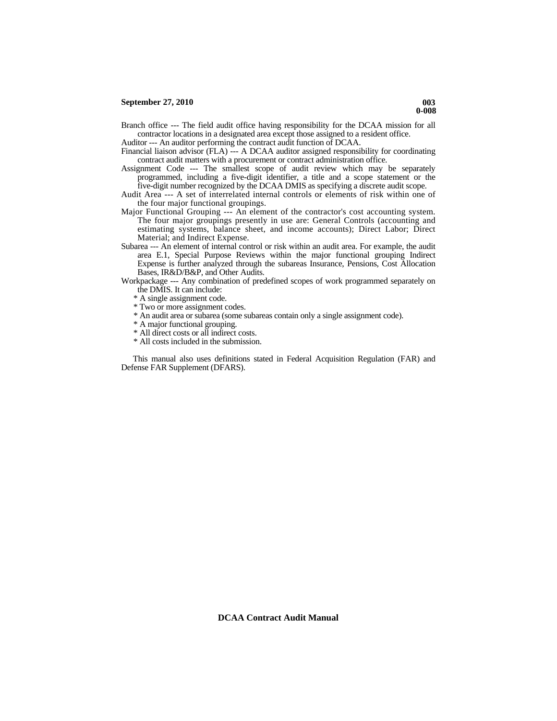Branch office --- The field audit office having responsibility for the DCAA mission for all contractor locations in a designated area except those assigned to a resident office.

Auditor --- An auditor performing the contract audit function of DCAA.

- Financial liaison advisor (FLA) --- A DCAA auditor assigned responsibility for coordinating contract audit matters with a procurement or contract administration office.
- Assignment Code --- The smallest scope of audit review which may be separately programmed, including a five-digit identifier, a title and a scope statement or the five-digit number recognized by the DCAA DMIS as specifying a discrete audit scope.
- Audit Area --- A set of interrelated internal controls or elements of risk within one of the four major functional groupings.
- Major Functional Grouping --- An element of the contractor's cost accounting system. The four major groupings presently in use are: General Controls (accounting and estimating systems, balance sheet, and income accounts); Direct Labor; Direct Material; and Indirect Expense.
- Subarea --- An element of internal control or risk within an audit area. For example, the audit area E.1, Special Purpose Reviews within the major functional grouping Indirect Expense is further analyzed through the subareas Insurance, Pensions, Cost Allocation Bases, IR&D/B&P, and Other Audits.
- Workpackage --- Any combination of predefined scopes of work programmed separately on the DMIS. It can include:
	- \* A single assignment code.
	- \* Two or more assignment codes.
	- \* An audit area or subarea (some subareas contain only a single assignment code).
	- \* A major functional grouping.
	- \* All direct costs or all indirect costs.
	- \* All costs included in the submission.

 This manual also uses definitions stated in Federal Acquisition Regulation (FAR) and Defense FAR Supplement (DFARS).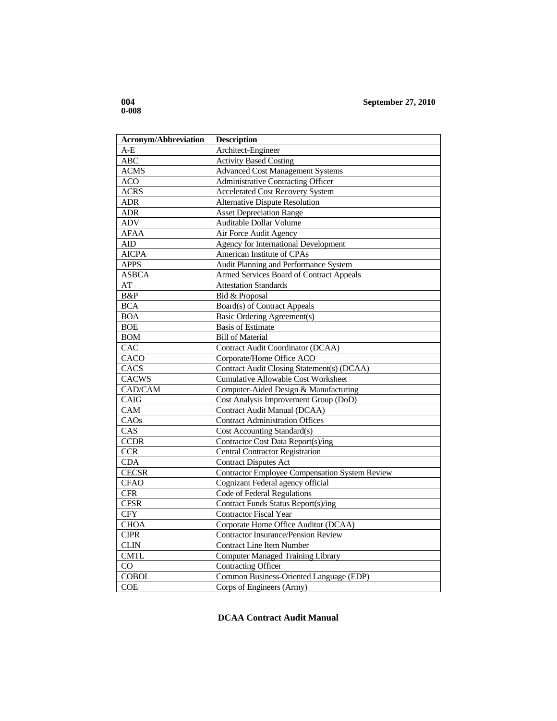| <b>Acronym/Abbreviation</b> | <b>Description</b>                                    |
|-----------------------------|-------------------------------------------------------|
| $A-E$                       | Architect-Engineer                                    |
| ABC                         | <b>Activity Based Costing</b>                         |
| <b>ACMS</b>                 | <b>Advanced Cost Management Systems</b>               |
| <b>ACO</b>                  | <b>Administrative Contracting Officer</b>             |
| <b>ACRS</b>                 | <b>Accelerated Cost Recovery System</b>               |
| <b>ADR</b>                  | <b>Alternative Dispute Resolution</b>                 |
| <b>ADR</b>                  | <b>Asset Depreciation Range</b>                       |
| ADV                         | <b>Auditable Dollar Volume</b>                        |
| <b>AFAA</b>                 | Air Force Audit Agency                                |
| AID                         | Agency for International Development                  |
| <b>AICPA</b>                | American Institute of CPAs                            |
| <b>APPS</b>                 | Audit Planning and Performance System                 |
| <b>ASBCA</b>                | Armed Services Board of Contract Appeals              |
| AT                          | <b>Attestation Standards</b>                          |
| B&P                         | Bid & Proposal                                        |
| <b>BCA</b>                  | Board(s) of Contract Appeals                          |
| <b>BOA</b>                  | <b>Basic Ordering Agreement(s)</b>                    |
| <b>BOE</b>                  | <b>Basis of Estimate</b>                              |
| <b>BOM</b>                  | <b>Bill of Material</b>                               |
| CAC                         | Contract Audit Coordinator (DCAA)                     |
| CACO                        | Corporate/Home Office ACO                             |
| CACS                        | Contract Audit Closing Statement(s) (DCAA)            |
| <b>CACWS</b>                | <b>Cumulative Allowable Cost Worksheet</b>            |
| CAD/CAM                     | Computer-Aided Design & Manufacturing                 |
| CAIG                        | Cost Analysis Improvement Group (DoD)                 |
| CAM                         | Contract Audit Manual (DCAA)                          |
| CAOs                        | <b>Contract Administration Offices</b>                |
| CAS                         | Cost Accounting Standard(s)                           |
| <b>CCDR</b>                 | Contractor Cost Data Report(s)/ing                    |
| <b>CCR</b>                  | <b>Central Contractor Registration</b>                |
| <b>CDA</b>                  | <b>Contract Disputes Act</b>                          |
| <b>CECSR</b>                | <b>Contractor Employee Compensation System Review</b> |
| <b>CFAO</b>                 | Cognizant Federal agency official                     |
| <b>CFR</b>                  | Code of Federal Regulations                           |
| <b>CFSR</b>                 | Contract Funds Status Report(s)/ing                   |
| <b>CFY</b>                  | <b>Contractor Fiscal Year</b>                         |
| <b>CHOA</b>                 | Corporate Home Office Auditor (DCAA)                  |
| <b>CIPR</b>                 | <b>Contractor Insurance/Pension Review</b>            |
| <b>CLIN</b>                 | <b>Contract Line Item Number</b>                      |
| <b>CMTL</b>                 | <b>Computer Managed Training Library</b>              |
| CO                          | <b>Contracting Officer</b>                            |
| <b>COBOL</b>                | Common Business-Oriented Language (EDP)               |
| <b>COE</b>                  | Corps of Engineers (Army)                             |

## **DCAA Contract Audit Manual**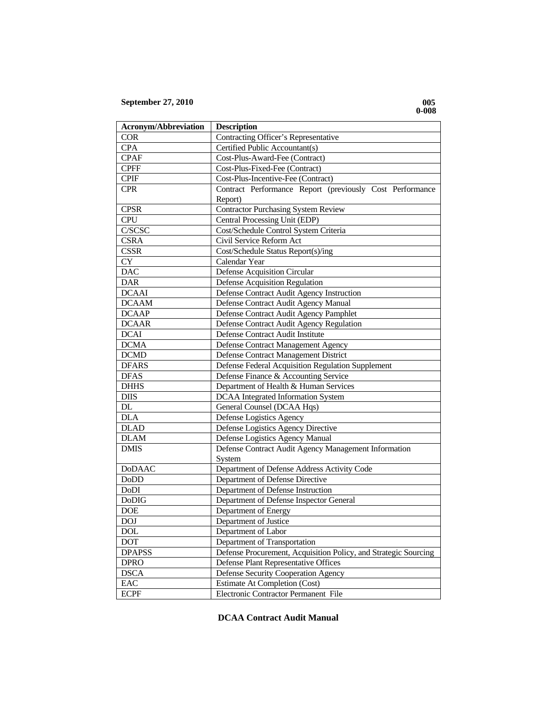| <b>Acronym/Abbreviation</b> | <b>Description</b>                                              |
|-----------------------------|-----------------------------------------------------------------|
| <b>COR</b>                  | Contracting Officer's Representative                            |
| <b>CPA</b>                  | Certified Public Accountant(s)                                  |
| <b>CPAF</b>                 | Cost-Plus-Award-Fee (Contract)                                  |
| <b>CPFF</b>                 | Cost-Plus-Fixed-Fee (Contract)                                  |
| <b>CPIF</b>                 | Cost-Plus-Incentive-Fee (Contract)                              |
| <b>CPR</b>                  | Contract Performance Report (previously Cost Performance        |
|                             | Report)                                                         |
| <b>CPSR</b>                 | <b>Contractor Purchasing System Review</b>                      |
| <b>CPU</b>                  | Central Processing Unit (EDP)                                   |
| C/SCSC                      | Cost/Schedule Control System Criteria                           |
| <b>CSRA</b>                 | Civil Service Reform Act                                        |
| <b>CSSR</b>                 | Cost/Schedule Status Report(s)/ing                              |
| <b>CY</b>                   | Calendar Year                                                   |
| <b>DAC</b>                  | Defense Acquisition Circular                                    |
| <b>DAR</b>                  | <b>Defense Acquisition Regulation</b>                           |
| <b>DCAAI</b>                | Defense Contract Audit Agency Instruction                       |
| <b>DCAAM</b>                | Defense Contract Audit Agency Manual                            |
| <b>DCAAP</b>                | Defense Contract Audit Agency Pamphlet                          |
| <b>DCAAR</b>                | Defense Contract Audit Agency Regulation                        |
| <b>DCAI</b>                 | Defense Contract Audit Institute                                |
| <b>DCMA</b>                 | Defense Contract Management Agency                              |
| <b>DCMD</b>                 | Defense Contract Management District                            |
| <b>DFARS</b>                | Defense Federal Acquisition Regulation Supplement               |
| <b>DFAS</b>                 | Defense Finance & Accounting Service                            |
| <b>DHHS</b>                 | Department of Health & Human Services                           |
| <b>DIIS</b>                 | <b>DCAA</b> Integrated Information System                       |
| DL                          | General Counsel (DCAA Hqs)                                      |
| <b>DLA</b>                  | Defense Logistics Agency                                        |
| <b>DLAD</b>                 | Defense Logistics Agency Directive                              |
| <b>DLAM</b>                 | Defense Logistics Agency Manual                                 |
| <b>DMIS</b>                 | Defense Contract Audit Agency Management Information            |
|                             | System                                                          |
| <b>DoDAAC</b>               | Department of Defense Address Activity Code                     |
| DoDD                        | Department of Defense Directive                                 |
| <b>DoDI</b>                 | Department of Defense Instruction                               |
| <b>DoDIG</b>                | Department of Defense Inspector General                         |
| <b>DOE</b>                  | Department of Energy                                            |
| <b>DOJ</b>                  | Department of Justice                                           |
| <b>DOL</b>                  | Department of Labor                                             |
| <b>DOT</b>                  | Department of Transportation                                    |
| <b>DPAPSS</b>               | Defense Procurement, Acquisition Policy, and Strategic Sourcing |
| <b>DPRO</b>                 | Defense Plant Representative Offices                            |
| <b>DSCA</b>                 | Defense Security Cooperation Agency                             |
| EAC                         | Estimate At Completion (Cost)                                   |
| <b>ECPF</b>                 | Electronic Contractor Permanent File                            |

## **DCAA Contract Audit Manual**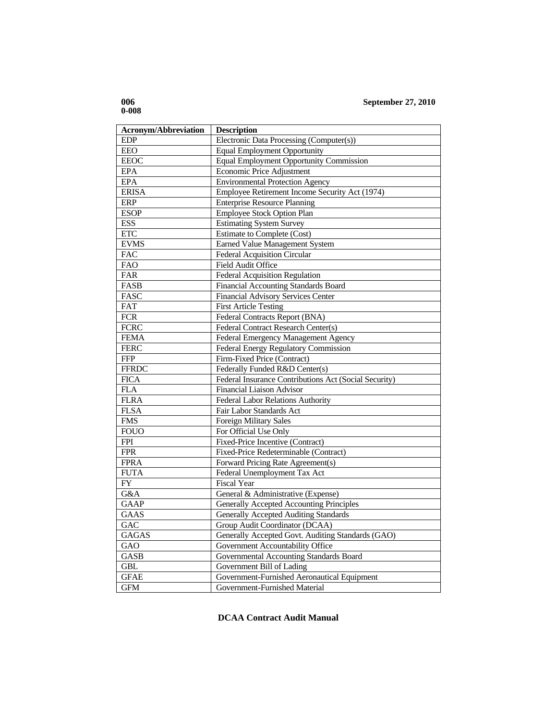| <b>Acronym/Abbreviation</b> | <b>Description</b>                                    |
|-----------------------------|-------------------------------------------------------|
| <b>EDP</b>                  | Electronic Data Processing (Computer(s))              |
| EEO                         | <b>Equal Employment Opportunity</b>                   |
| <b>EEOC</b>                 | Equal Employment Opportunity Commission               |
| <b>EPA</b>                  | Economic Price Adjustment                             |
| <b>EPA</b>                  | <b>Environmental Protection Agency</b>                |
| <b>ERISA</b>                | Employee Retirement Income Security Act (1974)        |
| <b>ERP</b>                  | <b>Enterprise Resource Planning</b>                   |
| <b>ESOP</b>                 | Employee Stock Option Plan                            |
| <b>ESS</b>                  | <b>Estimating System Survey</b>                       |
| <b>ETC</b>                  | <b>Estimate to Complete (Cost)</b>                    |
| <b>EVMS</b>                 | <b>Earned Value Management System</b>                 |
| FAC                         | Federal Acquisition Circular                          |
| <b>FAO</b>                  | Field Audit Office                                    |
| FAR                         | Federal Acquisition Regulation                        |
| <b>FASB</b>                 | Financial Accounting Standards Board                  |
| FASC                        | <b>Financial Advisory Services Center</b>             |
| FAT                         | <b>First Article Testing</b>                          |
| <b>FCR</b>                  | Federal Contracts Report (BNA)                        |
| <b>FCRC</b>                 | Federal Contract Research Center(s)                   |
| <b>FEMA</b>                 | Federal Emergency Management Agency                   |
| <b>FERC</b>                 | Federal Energy Regulatory Commission                  |
| <b>FFP</b>                  | Firm-Fixed Price (Contract)                           |
| <b>FFRDC</b>                | Federally Funded R&D Center(s)                        |
| <b>FICA</b>                 | Federal Insurance Contributions Act (Social Security) |
| $\overline{FLA}$            | Financial Liaison Advisor                             |
| <b>FLRA</b>                 | <b>Federal Labor Relations Authority</b>              |
| <b>FLSA</b>                 | Fair Labor Standards Act                              |
| <b>FMS</b>                  | <b>Foreign Military Sales</b>                         |
| <b>FOUO</b>                 | For Official Use Only                                 |
| <b>FPI</b>                  | Fixed-Price Incentive (Contract)                      |
| <b>FPR</b>                  | Fixed-Price Redeterminable (Contract)                 |
| <b>FPRA</b>                 | Forward Pricing Rate Agreement(s)                     |
| <b>FUTA</b>                 | Federal Unemployment Tax Act                          |
| FY                          | <b>Fiscal Year</b>                                    |
| G&A                         | General & Administrative (Expense)                    |
| <b>GAAP</b>                 | Generally Accepted Accounting Principles              |
| <b>GAAS</b>                 | <b>Generally Accepted Auditing Standards</b>          |
| GAC                         | Group Audit Coordinator (DCAA)                        |
| <b>GAGAS</b>                | Generally Accepted Govt. Auditing Standards (GAO)     |
| GAO                         | Government Accountability Office                      |
| <b>GASB</b>                 | Governmental Accounting Standards Board               |
| <b>GBL</b>                  | Government Bill of Lading                             |
| <b>GFAE</b>                 | Government-Furnished Aeronautical Equipment           |
| <b>GFM</b>                  | Government-Furnished Material                         |

# **DCAA Contract Audit Manual**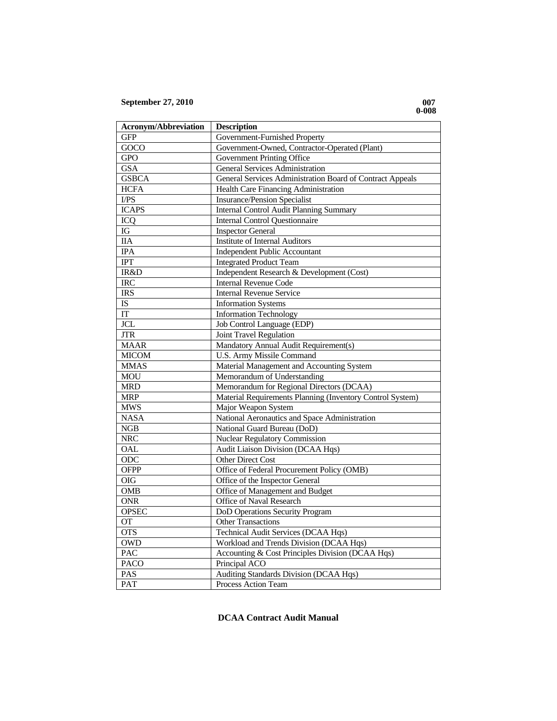| <b>Acronym/Abbreviation</b> | <b>Description</b>                                        |
|-----------------------------|-----------------------------------------------------------|
| <b>GFP</b>                  | Government-Furnished Property                             |
| $\overline{G}OCO$           | Government-Owned, Contractor-Operated (Plant)             |
| <b>GPO</b>                  | Government Printing Office                                |
| <b>GSA</b>                  | <b>General Services Administration</b>                    |
| <b>GSBCA</b>                | General Services Administration Board of Contract Appeals |
| <b>HCFA</b>                 | Health Care Financing Administration                      |
| VPS                         | <b>Insurance/Pension Specialist</b>                       |
| <b>ICAPS</b>                | <b>Internal Control Audit Planning Summary</b>            |
| <b>ICQ</b>                  | <b>Internal Control Questionnaire</b>                     |
| ${\rm IG}$                  | <b>Inspector General</b>                                  |
| <b>IIA</b>                  | <b>Institute of Internal Auditors</b>                     |
| <b>IPA</b>                  | <b>Independent Public Accountant</b>                      |
| IPT                         | <b>Integrated Product Team</b>                            |
| IR&D                        | Independent Research & Development (Cost)                 |
| <b>IRC</b>                  | <b>Internal Revenue Code</b>                              |
| <b>IRS</b>                  | <b>Internal Revenue Service</b>                           |
| $\overline{1S}$             | <b>Information Systems</b>                                |
| IT                          | <b>Information Technology</b>                             |
| <b>JCL</b>                  | Job Control Language (EDP)                                |
| <b>JTR</b>                  | Joint Travel Regulation                                   |
| <b>MAAR</b>                 | Mandatory Annual Audit Requirement(s)                     |
| <b>MICOM</b>                | <b>U.S. Army Missile Command</b>                          |
| <b>MMAS</b>                 | Material Management and Accounting System                 |
| <b>MOU</b>                  | Memorandum of Understanding                               |
| <b>MRD</b>                  | Memorandum for Regional Directors (DCAA)                  |
| <b>MRP</b>                  | Material Requirements Planning (Inventory Control System) |
| <b>MWS</b>                  | Major Weapon System                                       |
| <b>NASA</b>                 | National Aeronautics and Space Administration             |
| ${\bf NGB}$                 | National Guard Bureau (DoD)                               |
| <b>NRC</b>                  | <b>Nuclear Regulatory Commission</b>                      |
| <b>OAL</b>                  | Audit Liaison Division (DCAA Hqs)                         |
| ODC                         | <b>Other Direct Cost</b>                                  |
| <b>OFPP</b>                 | Office of Federal Procurement Policy (OMB)                |
| OIG                         | Office of the Inspector General                           |
| <b>OMB</b>                  | Office of Management and Budget                           |
| <b>ONR</b>                  | Office of Naval Research                                  |
| <b>OPSEC</b>                | DoD Operations Security Program                           |
| <b>OT</b>                   | <b>Other Transactions</b>                                 |
| <b>OTS</b>                  | <b>Technical Audit Services (DCAA Hqs)</b>                |
| <b>OWD</b>                  | Workload and Trends Division (DCAA Hqs)                   |
| PAC                         | Accounting & Cost Principles Division (DCAA Hqs)          |
| <b>PACO</b>                 | Principal ACO                                             |
| PAS                         | Auditing Standards Division (DCAA Hqs)                    |
| PAT                         | Process Action Team                                       |